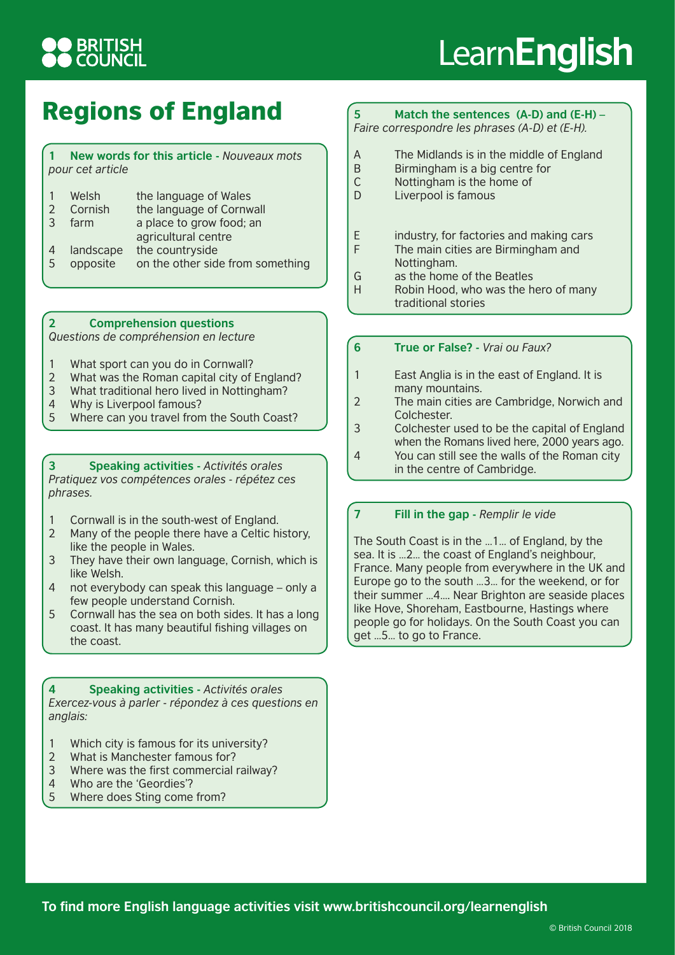## **BRITISH**<br>COUNCIL

# Learn**English**

### Regions of England

#### **1 New words for this article -** *Nouveaux mots pour cet article*

|                | Welsh     | the language of Wales            |
|----------------|-----------|----------------------------------|
|                | Cornish   | the language of Cornwall         |
| 3              | farm      | a place to grow food; an         |
|                |           | agricultural centre              |
|                | landscape | the countryside                  |
| $\overline{5}$ | opposite  | on the other side from something |
|                |           |                                  |

#### **2 Comprehension questions**

*Questions de compréhension en lecture*

- 1 What sport can you do in Cornwall?
- 2 What was the Roman capital city of England?
- 3 What traditional hero lived in Nottingham?
- 4 Why is Liverpool famous?
- 5 Where can you travel from the South Coast?

**3 Speaking activities -** *Activités orales Pratiquez vos compétences orales - répétez ces phrases.*

- 1 Cornwall is in the south-west of England.
- 2 Many of the people there have a Celtic history, like the people in Wales.
- 3 They have their own language, Cornish, which is like Welsh.
- 4 not everybody can speak this language only a few people understand Cornish.
- 5 Cornwall has the sea on both sides. It has a long coast. It has many beautiful fishing villages on the coast.

**4 Speaking activities -** *Activités orales Exercez-vous à parler - répondez à ces questions en anglais:*

- 1 Which city is famous for its university?
- 2 What is Manchester famous for?
- 3 Where was the first commercial railway?
- 4 Who are the 'Geordies'?
- 5 Where does Sting come from?

#### **5 Match the sentences (A-D) and (E-H) –** *Faire correspondre les phrases (A-D) et (E-H).*

- A The Midlands is in the middle of England<br>B Birmingham is a big centre for
- Birmingham is a big centre for
- C Nottingham is the home of
- D Liverpool is famous
- E industry, for factories and making cars
- F The main cities are Birmingham and Nottingham.
- G as the home of the Beatles
- H Robin Hood, who was the hero of many traditional stories
- **6 True or False?** *Vrai ou Faux?*
- 1 East Anglia is in the east of England. It is many mountains.
- 2 The main cities are Cambridge, Norwich and Colchester.
- 3 Colchester used to be the capital of England when the Romans lived here, 2000 years ago. 4 You can still see the walls of the Roman city in the centre of Cambridge.

#### **7 Fill in the gap -** *Remplir le vide*

The South Coast is in the …1… of England, by the sea. It is …2… the coast of England's neighbour, France. Many people from everywhere in the UK and Europe go to the south …3… for the weekend, or for their summer …4…. Near Brighton are seaside places like Hove, Shoreham, Eastbourne, Hastings where people go for holidays. On the South Coast you can get …5… to go to France.